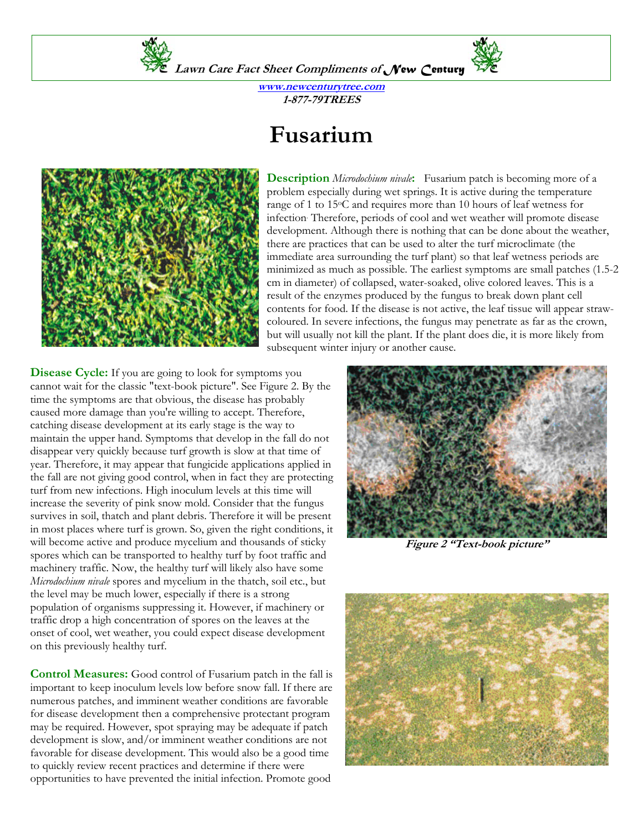

**Lawn Care Fact Sheet Compliments of** *New Century*

**www.newcenturytree.com 1-877-79TREES** 

## **Fusarium**



**Description** *Microdochium nivale***:** Fusarium patch is becoming more of a problem especially during wet springs. It is active during the temperature range of 1 to 15°C and requires more than 10 hours of leaf wetness for infection. Therefore, periods of cool and wet weather will promote disease development. Although there is nothing that can be done about the weather, there are practices that can be used to alter the turf microclimate (the immediate area surrounding the turf plant) so that leaf wetness periods are minimized as much as possible. The earliest symptoms are small patches (1.5-2 cm in diameter) of collapsed, water-soaked, olive colored leaves. This is a result of the enzymes produced by the fungus to break down plant cell contents for food. If the disease is not active, the leaf tissue will appear strawcoloured. In severe infections, the fungus may penetrate as far as the crown, but will usually not kill the plant. If the plant does die, it is more likely from subsequent winter injury or another cause.

**Disease Cycle:** If you are going to look for symptoms you cannot wait for the classic "text-book picture". See Figure 2. By the time the symptoms are that obvious, the disease has probably caused more damage than you're willing to accept. Therefore, catching disease development at its early stage is the way to maintain the upper hand. Symptoms that develop in the fall do not disappear very quickly because turf growth is slow at that time of year. Therefore, it may appear that fungicide applications applied in the fall are not giving good control, when in fact they are protecting turf from new infections. High inoculum levels at this time will increase the severity of pink snow mold. Consider that the fungus survives in soil, thatch and plant debris. Therefore it will be present in most places where turf is grown. So, given the right conditions, it will become active and produce mycelium and thousands of sticky spores which can be transported to healthy turf by foot traffic and machinery traffic. Now, the healthy turf will likely also have some *Microdochium nivale* spores and mycelium in the thatch, soil etc., but the level may be much lower, especially if there is a strong population of organisms suppressing it. However, if machinery or traffic drop a high concentration of spores on the leaves at the onset of cool, wet weather, you could expect disease development on this previously healthy turf.

**Control Measures:** Good control of Fusarium patch in the fall is important to keep inoculum levels low before snow fall. If there are numerous patches, and imminent weather conditions are favorable for disease development then a comprehensive protectant program may be required. However, spot spraying may be adequate if patch development is slow, and/or imminent weather conditions are not favorable for disease development. This would also be a good time to quickly review recent practices and determine if there were opportunities to have prevented the initial infection. Promote good



**Figure 2 "Text-book picture"**